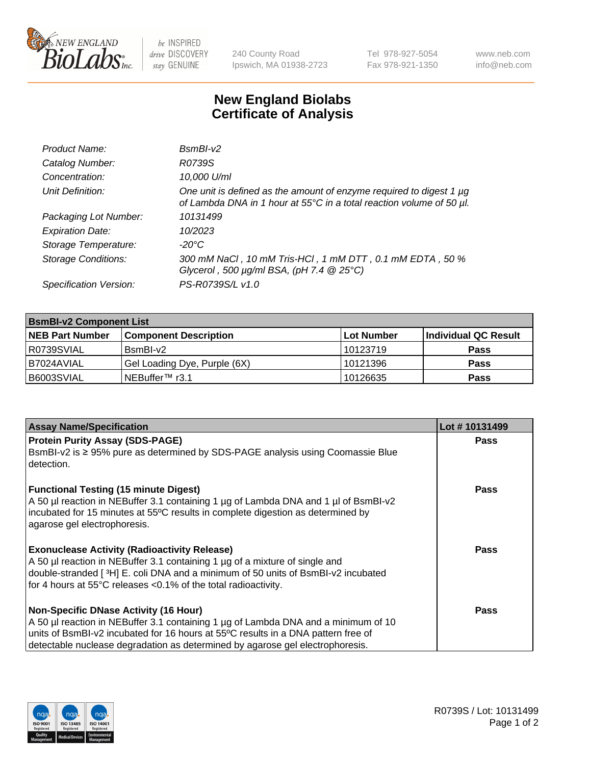

 $be$  INSPIRED drive DISCOVERY stay GENUINE

240 County Road Ipswich, MA 01938-2723 Tel 978-927-5054 Fax 978-921-1350 www.neb.com info@neb.com

## **New England Biolabs Certificate of Analysis**

| Product Name:              | $BsmBI-v2$                                                                                                                                  |
|----------------------------|---------------------------------------------------------------------------------------------------------------------------------------------|
| Catalog Number:            | R0739S                                                                                                                                      |
| Concentration:             | 10,000 U/ml                                                                                                                                 |
| Unit Definition:           | One unit is defined as the amount of enzyme required to digest 1 µg<br>of Lambda DNA in 1 hour at 55°C in a total reaction volume of 50 µl. |
| Packaging Lot Number:      | 10131499                                                                                                                                    |
| <b>Expiration Date:</b>    | 10/2023                                                                                                                                     |
| Storage Temperature:       | $-20^{\circ}$ C                                                                                                                             |
| <b>Storage Conditions:</b> | 300 mM NaCl, 10 mM Tris-HCl, 1 mM DTT, 0.1 mM EDTA, 50 %<br>Glycerol, 500 $\mu$ g/ml BSA, (pH 7.4 $@25°C$ )                                 |
| Specification Version:     | PS-R0739S/L v1.0                                                                                                                            |

| <b>BsmBI-v2 Component List</b> |                              |                   |                      |  |  |
|--------------------------------|------------------------------|-------------------|----------------------|--|--|
| <b>NEB Part Number</b>         | <b>Component Description</b> | <b>Lot Number</b> | Individual QC Result |  |  |
| R0739SVIAL                     | BsmBI-v2                     | 10123719          | <b>Pass</b>          |  |  |
| B7024AVIAL                     | Gel Loading Dye, Purple (6X) | 10121396          | <b>Pass</b>          |  |  |
| B6003SVIAL                     | INEBuffer™ r3.1              | 10126635          | <b>Pass</b>          |  |  |

| <b>Assay Name/Specification</b>                                                                                                                                                                                                                        | Lot #10131499 |
|--------------------------------------------------------------------------------------------------------------------------------------------------------------------------------------------------------------------------------------------------------|---------------|
| <b>Protein Purity Assay (SDS-PAGE)</b>                                                                                                                                                                                                                 | <b>Pass</b>   |
| BsmBI-v2 is ≥ 95% pure as determined by SDS-PAGE analysis using Coomassie Blue<br>I detection.                                                                                                                                                         |               |
| <b>Functional Testing (15 minute Digest)</b><br>A 50 µl reaction in NEBuffer 3.1 containing 1 µg of Lambda DNA and 1 µl of BsmBI-v2<br>incubated for 15 minutes at 55°C results in complete digestion as determined by<br>agarose gel electrophoresis. | Pass          |
| <b>Exonuclease Activity (Radioactivity Release)</b>                                                                                                                                                                                                    | Pass          |
| A 50 µl reaction in NEBuffer 3.1 containing 1 µg of a mixture of single and                                                                                                                                                                            |               |
| double-stranded [3H] E. coli DNA and a minimum of 50 units of BsmBI-v2 incubated                                                                                                                                                                       |               |
| for 4 hours at 55°C releases <0.1% of the total radioactivity.                                                                                                                                                                                         |               |
| Non-Specific DNase Activity (16 Hour)                                                                                                                                                                                                                  | Pass          |
| A 50 µl reaction in NEBuffer 3.1 containing 1 µg of Lambda DNA and a minimum of 10                                                                                                                                                                     |               |
| units of BsmBI-v2 incubated for 16 hours at 55°C results in a DNA pattern free of                                                                                                                                                                      |               |
| detectable nuclease degradation as determined by agarose gel electrophoresis.                                                                                                                                                                          |               |